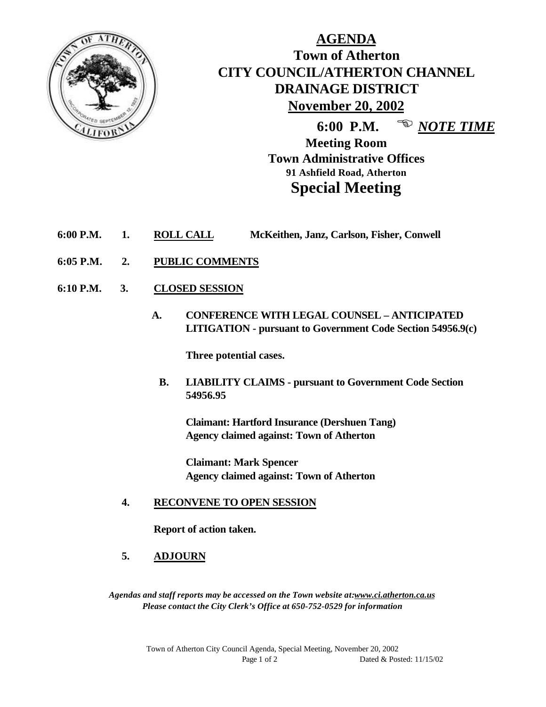

## **AGENDA Town of Atherton CITY COUNCIL/ATHERTON CHANNEL DRAINAGE DISTRICT November 20, 2002**

**6:00 P.M.** <sup>**E** *NOTE TIME*</sup>

**Meeting Room Town Administrative Offices 91 Ashfield Road, Atherton Special Meeting**

- **6:00 P.M. 1. ROLL CALL McKeithen, Janz, Carlson, Fisher, Conwell**
- **6:05 P.M. 2. PUBLIC COMMENTS**
- **6:10 P.M. 3. CLOSED SESSION**
	- **A. CONFERENCE WITH LEGAL COUNSEL ANTICIPATED LITIGATION - pursuant to Government Code Section 54956.9(c)**

**Three potential cases.**

 **B. LIABILITY CLAIMS - pursuant to Government Code Section 54956.95**

**Claimant: Hartford Insurance (Dershuen Tang) Agency claimed against: Town of Atherton**

**Claimant: Mark Spencer Agency claimed against: Town of Atherton**

## **4. RECONVENE TO OPEN SESSION**

**Report of action taken.**

**5. ADJOURN**

*Agendas and staff reports may be accessed on the Town website at:www.ci.atherton.ca.us Please contact the City Clerk's Office at 650-752-0529 for information*